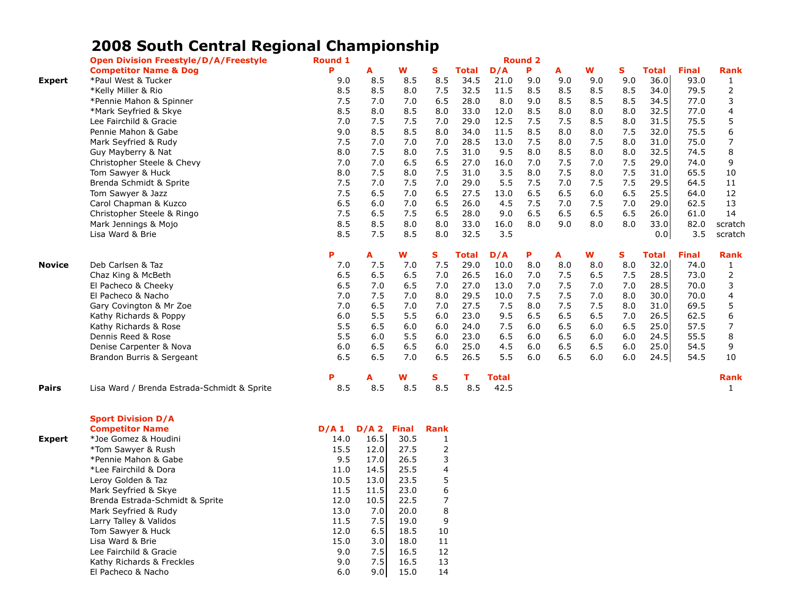## **2008 South Central Regional Championship**

|               | <b>Open Division Freestyle/D/A/Freestyle</b> | <b>Round 1</b> |     |     |     |              |              | <b>Round 2</b> |     |     |     |              |              |                |
|---------------|----------------------------------------------|----------------|-----|-----|-----|--------------|--------------|----------------|-----|-----|-----|--------------|--------------|----------------|
|               | <b>Competitor Name &amp; Dog</b>             | Þ              | А   | w   | S   | <b>Total</b> | D/A          | P              | A   | W   | S   | <b>Total</b> | <b>Final</b> | <b>Rank</b>    |
| <b>Expert</b> | *Paul West & Tucker                          | 9.0            | 8.5 | 8.5 | 8.5 | 34.5         | 21.0         | 9.0            | 9.0 | 9.0 | 9.0 | 36.0         | 93.0         | 1              |
|               | *Kelly Miller & Rio                          | 8.5            | 8.5 | 8.0 | 7.5 | 32.5         | 11.5         | 8.5            | 8.5 | 8.5 | 8.5 | 34.0         | 79.5         | 2              |
|               | *Pennie Mahon & Spinner                      | 7.5            | 7.0 | 7.0 | 6.5 | 28.0         | 8.0          | 9.0            | 8.5 | 8.5 | 8.5 | 34.5         | 77.0         | 3              |
|               | *Mark Seyfried & Skye                        | 8.5            | 8.0 | 8.5 | 8.0 | 33.0         | 12.0         | 8.5            | 8.0 | 8.0 | 8.0 | 32.5         | 77.0         | 4              |
|               | Lee Fairchild & Gracie                       | 7.0            | 7.5 | 7.5 | 7.0 | 29.0         | 12.5         | 7.5            | 7.5 | 8.5 | 8.0 | 31.5         | 75.5         | 5              |
|               | Pennie Mahon & Gabe                          | 9.0            | 8.5 | 8.5 | 8.0 | 34.0         | 11.5         | 8.5            | 8.0 | 8.0 | 7.5 | 32.0         | 75.5         | 6              |
|               | Mark Seyfried & Rudy                         | 7.5            | 7.0 | 7.0 | 7.0 | 28.5         | 13.0         | 7.5            | 8.0 | 7.5 | 8.0 | 31.0         | 75.0         | 7              |
|               | Guy Mayberry & Nat                           | 8.0            | 7.5 | 8.0 | 7.5 | 31.0         | 9.5          | 8.0            | 8.5 | 8.0 | 8.0 | 32.5         | 74.5         | 8              |
|               | Christopher Steele & Chevy                   | 7.0            | 7.0 | 6.5 | 6.5 | 27.0         | 16.0         | 7.0            | 7.5 | 7.0 | 7.5 | 29.0         | 74.0         | 9              |
|               | Tom Sawyer & Huck                            | 8.0            | 7.5 | 8.0 | 7.5 | 31.0         | 3.5          | 8.0            | 7.5 | 8.0 | 7.5 | 31.0         | 65.5         | 10             |
|               | Brenda Schmidt & Sprite                      | 7.5            | 7.0 | 7.5 | 7.0 | 29.0         | 5.5          | 7.5            | 7.0 | 7.5 | 7.5 | 29.5         | 64.5         | 11             |
|               | Tom Sawyer & Jazz                            | 7.5            | 6.5 | 7.0 | 6.5 | 27.5         | 13.0         | 6.5            | 6.5 | 6.0 | 6.5 | 25.5         | 64.0         | 12             |
|               | Carol Chapman & Kuzco                        | 6.5            | 6.0 | 7.0 | 6.5 | 26.0         | 4.5          | 7.5            | 7.0 | 7.5 | 7.0 | 29.0         | 62.5         | 13             |
|               | Christopher Steele & Ringo                   | 7.5            | 6.5 | 7.5 | 6.5 | 28.0         | 9.0          | 6.5            | 6.5 | 6.5 | 6.5 | 26.0         | 61.0         | 14             |
|               | Mark Jennings & Mojo                         | 8.5            | 8.5 | 8.0 | 8.0 | 33.0         | 16.0         | 8.0            | 9.0 | 8.0 | 8.0 | 33.0         | 82.0         | scratch        |
|               | Lisa Ward & Brie                             | 8.5            | 7.5 | 8.5 | 8.0 | 32.5         | 3.5          |                |     |     |     | 0.0          | 3.5          | scratch        |
|               |                                              | P              | A   | W   | s   | Total        | D/A          | Ρ              | A   | W   | S.  | <b>Total</b> | <b>Final</b> | <b>Rank</b>    |
| <b>Novice</b> | Deb Carlsen & Taz                            | 7.0            | 7.5 | 7.0 | 7.5 | 29.0         | 10.0         | 8.0            | 8.0 | 8.0 | 8.0 | 32.0         | 74.0         | 1              |
|               | Chaz King & McBeth                           | 6.5            | 6.5 | 6.5 | 7.0 | 26.5         | 16.0         | 7.0            | 7.5 | 6.5 | 7.5 | 28.5         | 73.0         | $\overline{2}$ |
|               | El Pacheco & Cheeky                          | 6.5            | 7.0 | 6.5 | 7.0 | 27.0         | 13.0         | 7.0            | 7.5 | 7.0 | 7.0 | 28.5         | 70.0         | 3              |
|               | El Pacheco & Nacho                           | 7.0            | 7.5 | 7.0 | 8.0 | 29.5         | 10.0         | 7.5            | 7.5 | 7.0 | 8.0 | 30.0         | 70.0         | 4              |
|               | Gary Covington & Mr Zoe                      | 7.0            | 6.5 | 7.0 | 7.0 | 27.5         | 7.5          | 8.0            | 7.5 | 7.5 | 8.0 | 31.0         | 69.5         | 5              |
|               | Kathy Richards & Poppy                       | 6.0            | 5.5 | 5.5 | 6.0 | 23.0         | 9.5          | 6.5            | 6.5 | 6.5 | 7.0 | 26.5         | 62.5         | 6              |
|               | Kathy Richards & Rose                        | 5.5            | 6.5 | 6.0 | 6.0 | 24.0         | 7.5          | 6.0            | 6.5 | 6.0 | 6.5 | 25.0         | 57.5         |                |
|               | Dennis Reed & Rose                           | 5.5            | 6.0 | 5.5 | 6.0 | 23.0         | 6.5          | 6.0            | 6.5 | 6.0 | 6.0 | 24.5         | 55.5         | 8              |
|               | Denise Carpenter & Nova                      | 6.0            | 6.5 | 6.5 | 6.0 | 25.0         | 4.5          | 6.0            | 6.5 | 6.5 | 6.0 | 25.0         | 54.5         | 9              |
|               | Brandon Burris & Sergeant                    | 6.5            | 6.5 | 7.0 | 6.5 | 26.5         | 5.5          | 6.0            | 6.5 | 6.0 | 6.0 | 24.5         | 54.5         | 10             |
|               |                                              | P              | A   | w   | s   |              | <b>Total</b> |                |     |     |     |              |              | <b>Rank</b>    |
| <b>Pairs</b>  | Lisa Ward / Brenda Estrada-Schmidt & Sprite  | 8.5            | 8.5 | 8.5 | 8.5 | 8.5          | 42.5         |                |     |     |     |              |              | 1              |

|               | <b>Sport Division D/A</b>       |      |      |              |             |
|---------------|---------------------------------|------|------|--------------|-------------|
|               | <b>Competitor Name</b>          | D/A1 | D/A2 | <b>Final</b> | <b>Rank</b> |
| <b>Expert</b> | *Joe Gomez & Houdini            | 14.0 | 16.5 | 30.5         | 1           |
|               | *Tom Sawyer & Rush              | 15.5 | 12.0 | 27.5         | 2           |
|               | *Pennie Mahon & Gabe            | 9.5  | 17.0 | 26.5         | 3           |
|               | *Lee Fairchild & Dora           | 11.0 | 14.5 | 25.5         | 4           |
|               | Leroy Golden & Taz              | 10.5 | 13.0 | 23.5         | 5           |
|               | Mark Seyfried & Skye            | 11.5 | 11.5 | 23.0         | 6           |
|               | Brenda Estrada-Schmidt & Sprite | 12.0 | 10.5 | 22.5         | 7           |
|               | Mark Seyfried & Rudy            | 13.0 | 7.0  | 20.0         | 8           |
|               | Larry Talley & Validos          | 11.5 | 7.5  | 19.0         | 9           |
|               | Tom Sawyer & Huck               | 12.0 | 6.5  | 18.5         | 10          |
|               | Lisa Ward & Brie                | 15.0 | 3.0  | 18.0         | 11          |
|               | Lee Fairchild & Gracie          | 9.0  | 7.5  | 16.5         | 12          |
|               | Kathy Richards & Freckles       | 9.0  | 7.5  | 16.5         | 13          |
|               | El Pacheco & Nacho              | 6.0  | 9.01 | 15.0         | 14          |